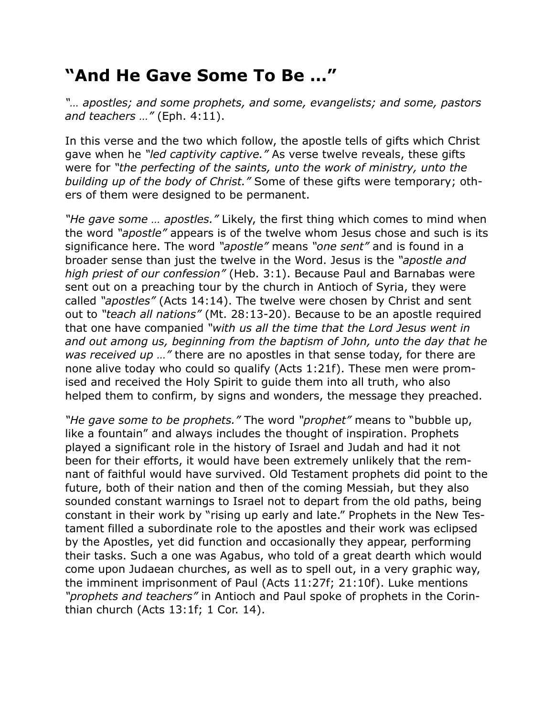## **"And He Gave Some To Be …"**

*"… apostles; and some prophets, and some, evangelists; and some, pastors and teachers …"* (Eph. 4:11).

In this verse and the two which follow, the apostle tells of gifts which Christ gave when he *"led captivity captive."* As verse twelve reveals, these gifts were for *"the perfecting of the saints, unto the work of ministry, unto the building up of the body of Christ."* Some of these gifts were temporary; others of them were designed to be permanent.

*"He gave some … apostles."* Likely, the first thing which comes to mind when the word *"apostle"* appears is of the twelve whom Jesus chose and such is its significance here. The word *"apostle"* means *"one sent"* and is found in a broader sense than just the twelve in the Word. Jesus is the *"apostle and high priest of our confession"* (Heb. 3:1). Because Paul and Barnabas were sent out on a preaching tour by the church in Antioch of Syria, they were called *"apostles"* (Acts 14:14). The twelve were chosen by Christ and sent out to *"teach all nations"* (Mt. 28:13-20). Because to be an apostle required that one have companied *"with us all the time that the Lord Jesus went in and out among us, beginning from the baptism of John, unto the day that he was received up …"* there are no apostles in that sense today, for there are none alive today who could so qualify (Acts 1:21f). These men were promised and received the Holy Spirit to guide them into all truth, who also helped them to confirm, by signs and wonders, the message they preached.

*"He gave some to be prophets."* The word *"prophet"* means to "bubble up, like a fountain" and always includes the thought of inspiration. Prophets played a significant role in the history of Israel and Judah and had it not been for their efforts, it would have been extremely unlikely that the remnant of faithful would have survived. Old Testament prophets did point to the future, both of their nation and then of the coming Messiah, but they also sounded constant warnings to Israel not to depart from the old paths, being constant in their work by "rising up early and late." Prophets in the New Testament filled a subordinate role to the apostles and their work was eclipsed by the Apostles, yet did function and occasionally they appear, performing their tasks. Such a one was Agabus, who told of a great dearth which would come upon Judaean churches, as well as to spell out, in a very graphic way, the imminent imprisonment of Paul (Acts 11:27f; 21:10f). Luke mentions *"prophets and teachers"* in Antioch and Paul spoke of prophets in the Corinthian church (Acts 13:1f; 1 Cor. 14).